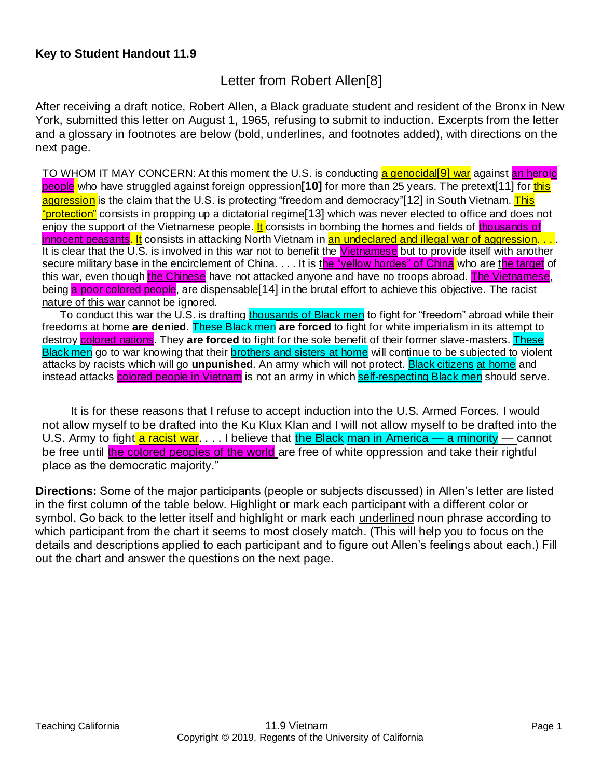## Letter from Robert Allen[8]

After receiving a draft notice, Robert Allen, a Black graduate student and resident of the Bronx in New York, submitted this letter on August 1, 1965, refusing to submit to induction. Excerpts from the letter and a glossary in footnotes are below (bold, underlines, and footnotes added), with directions on the next page.

TO WHOM IT MAY CONCERN: At this moment the U.S. is conducting a genocidal<sup>[9]</sup> war against an heroic people who have struggled against foreign oppression**[10]** for more than 25 years. The pretext[11] for this aggression is the claim that the U.S. is protecting "freedom and democracy"[12] in South Vietnam. This "protection" consists in propping up a dictatorial regime [13] which was never elected to office and does not enjoy the support of the Vietnamese people. It consists in bombing the homes and fields of thousands of innocent peasants. It consists in attacking North Vietnam in an undeclared and illegal war of aggression. . . It is clear that the U.S. is involved in this war not to benefit the Vietnamese but to provide itself with another secure military base in the encirclement of China. . . . It is the "yellow hordes" of China who are the target of this war, even though the Chinese have not attacked anyone and have no troops abroad. The Vietnamese, being a poor colored people, are dispensable<sup>[14]</sup> in the brutal effort to achieve this objective. The racist nature of this war cannot be ignored.

To conduct this war the U.S. is drafting thousands of Black men to fight for "freedom" abroad while their freedoms at home **are denied**. These Black men **are forced** to fight for white imperialism in its attempt to destroy colored nations. They **are forced** to fight for the sole benefit of their former slave-masters. These Black men go to war knowing that their **brothers and sisters at home** will continue to be subjected to violent attacks by racists which will go **unpunished**. An army which will not protect. Black citizens at home and instead attacks **colored people in Vietnam** is not an army in which **self-respecting Black men** should serve.

It is for these reasons that I refuse to accept induction into the U.S. Armed Forces. I would not allow myself to be drafted into the Ku Klux Klan and I will not allow myself to be drafted into the U.S. Army to fight a racist war. . . . I believe that the Black man in America — a minority — cannot be free until the colored peoples of the world are free of white oppression and take their rightful place as the democratic majority."

**Directions:** Some of the major participants (people or subjects discussed) in Allen's letter are listed in the first column of the table below. Highlight or mark each participant with a different color or symbol. Go back to the letter itself and highlight or mark each underlined noun phrase according to which participant from the chart it seems to most closely match. (This will help you to focus on the details and descriptions applied to each participant and to figure out Allen's feelings about each.) Fill out the chart and answer the questions on the next page.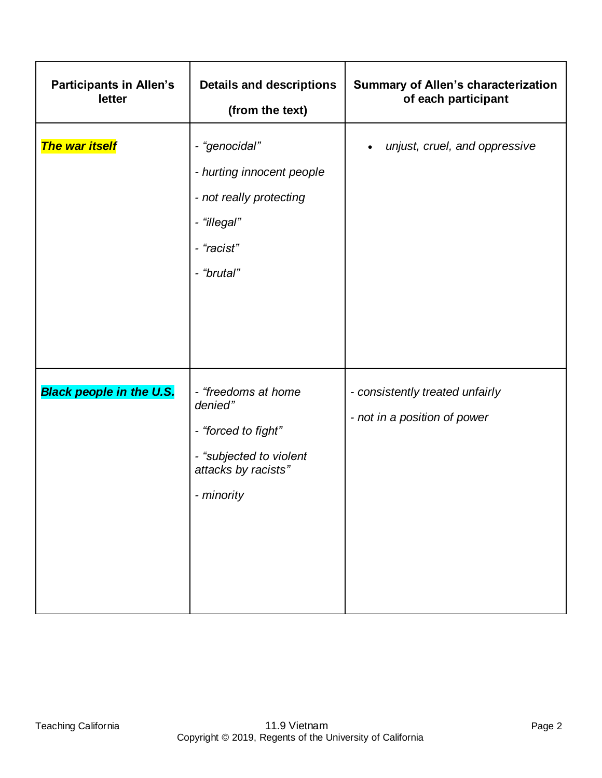| <b>Participants in Allen's</b><br>letter | <b>Details and descriptions</b><br>(from the text)                                                                    | <b>Summary of Allen's characterization</b><br>of each participant |
|------------------------------------------|-----------------------------------------------------------------------------------------------------------------------|-------------------------------------------------------------------|
| <b>The war itself</b>                    | - "genocidal"<br>- hurting innocent people<br>- not really protecting<br>- "illegal"<br>- "racist"<br>- "brutal"      | unjust, cruel, and oppressive<br>$\bullet$                        |
| <b>Black people in the U.S.</b>          | - "freedoms at home<br>denied"<br>- "forced to fight"<br>- "subjected to violent<br>attacks by racists"<br>- minority | - consistently treated unfairly<br>- not in a position of power   |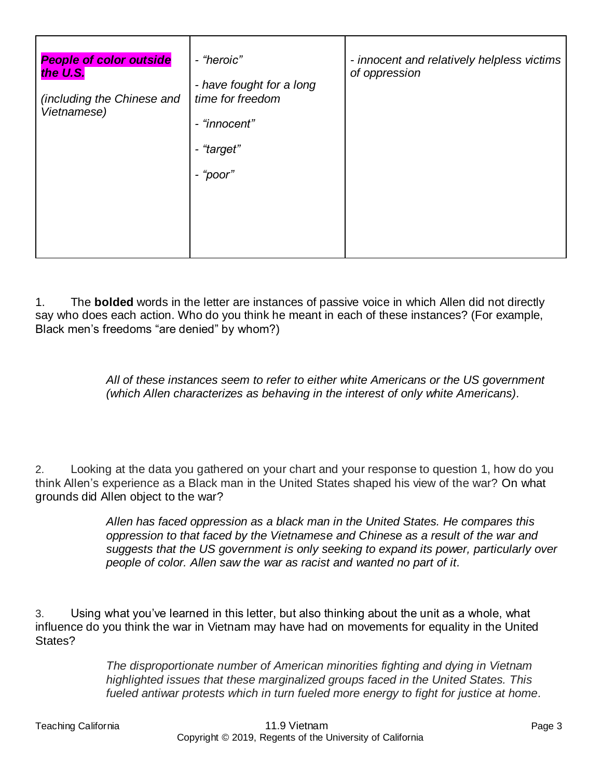| <b>People of color outside</b><br>the U.S.<br>(including the Chinese and<br>Vietnamese) | - "heroic"<br>- have fought for a long<br>time for freedom<br>- "innocent"<br>- "target"<br>- "poor" | - innocent and relatively helpless victims<br>of oppression |
|-----------------------------------------------------------------------------------------|------------------------------------------------------------------------------------------------------|-------------------------------------------------------------|
|                                                                                         |                                                                                                      |                                                             |

1. The **bolded** words in the letter are instances of passive voice in which Allen did not directly say who does each action. Who do you think he meant in each of these instances? (For example, Black men's freedoms "are denied" by whom?)

> *All of these instances seem to refer to either white Americans or the US government (which Allen characterizes as behaving in the interest of only white Americans).*

2. Looking at the data you gathered on your chart and your response to question 1, how do you think Allen's experience as a Black man in the United States shaped his view of the war? On what grounds did Allen object to the war?

> *Allen has faced oppression as a black man in the United States. He compares this oppression to that faced by the Vietnamese and Chinese as a result of the war and suggests that the US government is only seeking to expand its power, particularly over people of color. Allen saw the war as racist and wanted no part of it.*

3. Using what you've learned in this letter, but also thinking about the unit as a whole, what influence do you think the war in Vietnam may have had on movements for equality in the United States?

> *The disproportionate number of American minorities fighting and dying in Vietnam highlighted issues that these marginalized groups faced in the United States. This fueled antiwar protests which in turn fueled more energy to fight for justice at home.*